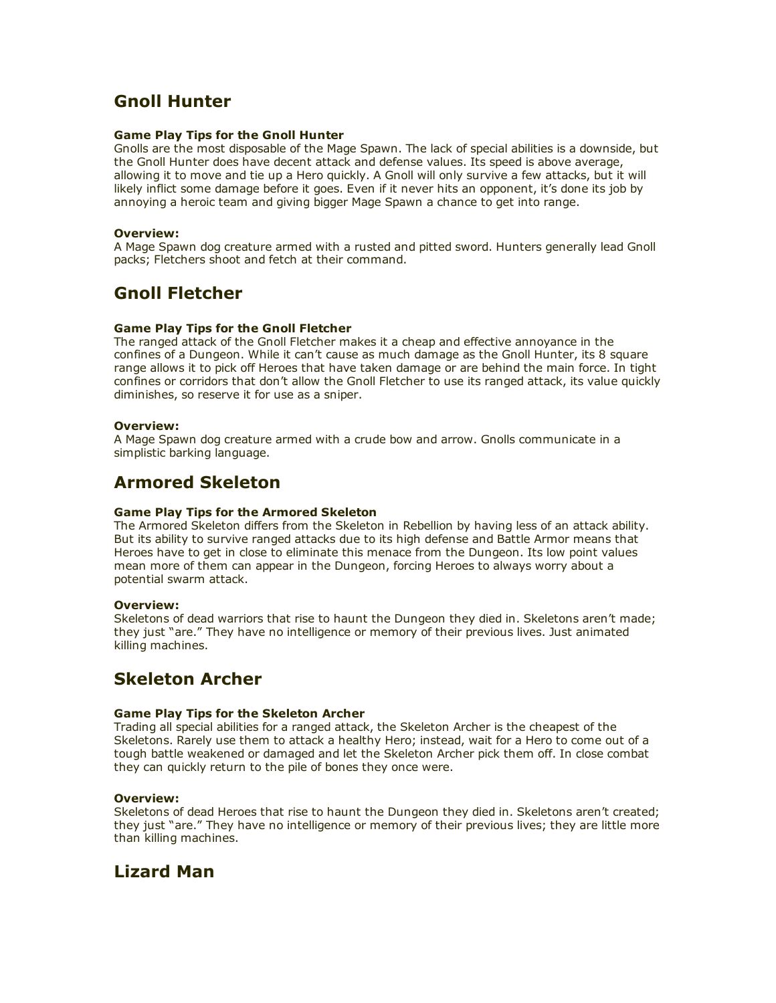# Gnoll Hunter

## Game Play Tips for the Gnoll Hunter

Gnolls are the most disposable of the Mage Spawn. The lack of special abilities is a downside, but the Gnoll Hunter does have decent attack and defense values. Its speed is above average, allowing it to move and tie up a Hero quickly. A Gnoll will only survive a few attacks, but it will likely inflict some damage before it goes. Even if it never hits an opponent, it's done its job by annoying a heroic team and giving bigger Mage Spawn a chance to get into range.

## Overview:

A Mage Spawn dog creature armed with a rusted and pitted sword. Hunters generally lead Gnoll packs; Fletchers shoot and fetch at their command.

# Gnoll Fletcher

## Game Play Tips for the Gnoll Fletcher

The ranged attack of the Gnoll Fletcher makes it a cheap and effective annoyance in the confines of a Dungeon. While it can't cause as much damage as the Gnoll Hunter, its 8 square range allows it to pick off Heroes that have taken damage or are behind the main force. In tight confines or corridors that don't allow the Gnoll Fletcher to use its ranged attack, its value quickly diminishes, so reserve it for use as a sniper.

## Overview:

A Mage Spawn dog creature armed with a crude bow and arrow. Gnolls communicate in a simplistic barking language.

# Armored Skeleton

## Game Play Tips for the Armored Skeleton

The Armored Skeleton differs from the Skeleton in Rebellion by having less of an attack ability. But its ability to survive ranged attacks due to its high defense and Battle Armor means that Heroes have to get in close to eliminate this menace from the Dungeon. Its low point values mean more of them can appear in the Dungeon, forcing Heroes to always worry about a potential swarm attack.

## Overview:

Skeletons of dead warriors that rise to haunt the Dungeon they died in. Skeletons aren't made; they just "are." They have no intelligence or memory of their previous lives. Just animated killing machines.

# Skeleton Archer

## Game Play Tips for the Skeleton Archer

Trading all special abilities for a ranged attack, the Skeleton Archer is the cheapest of the Skeletons. Rarely use them to attack a healthy Hero; instead, wait for a Hero to come out of a tough battle weakened or damaged and let the Skeleton Archer pick them off. In close combat they can quickly return to the pile of bones they once were.

## Overview:

Skeletons of dead Heroes that rise to haunt the Dungeon they died in. Skeletons aren't created; they just "are." They have no intelligence or memory of their previous lives; they are little more than killing machines.

# Lizard Man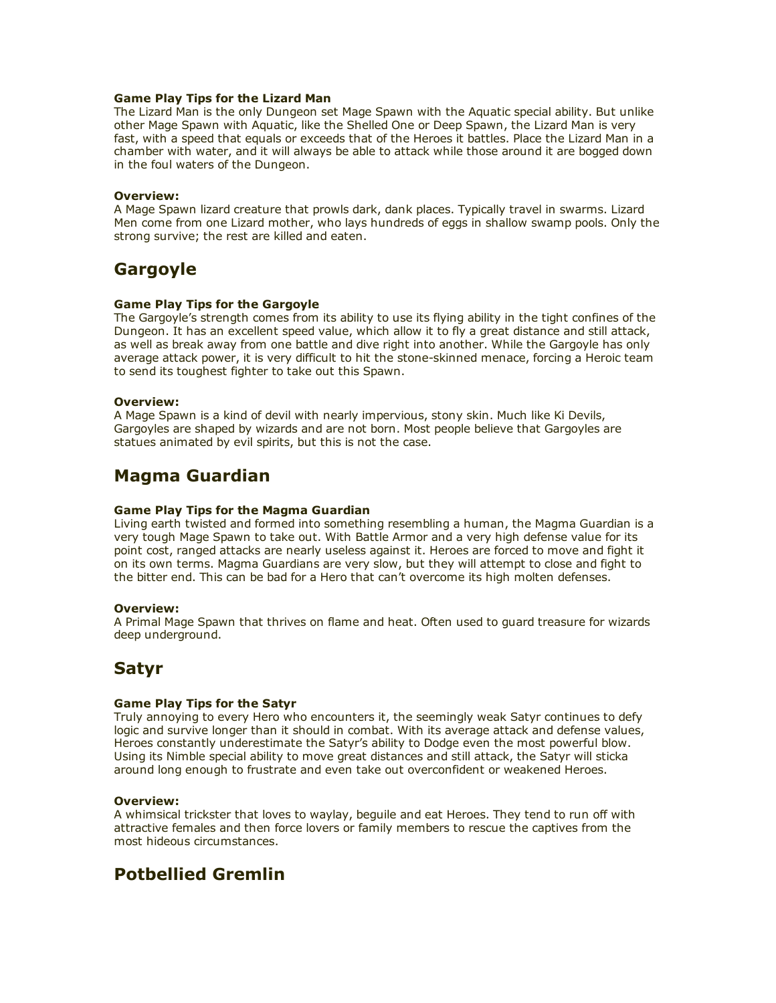### Game Play Tips for the Lizard Man

The Lizard Man is the only Dungeon set Mage Spawn with the Aquatic special ability. But unlike other Mage Spawn with Aquatic, like the Shelled One or Deep Spawn, the Lizard Man is very fast, with a speed that equals or exceeds that of the Heroes it battles. Place the Lizard Man in a chamber with water, and it will always be able to attack while those around it are bogged down in the foul waters of the Dungeon.

### Overview:

A Mage Spawn lizard creature that prowls dark, dank places. Typically travel in swarms. Lizard Men come from one Lizard mother, who lays hundreds of eggs in shallow swamp pools. Only the strong survive; the rest are killed and eaten.

# Gargoyle

## Game Play Tips for the Gargoyle

The Gargoyle's strength comes from its ability to use its flying ability in the tight confines of the Dungeon. It has an excellent speed value, which allow it to fly a great distance and still attack, as well as break away from one battle and dive right into another. While the Gargoyle has only average attack power, it is very difficult to hit the stone-skinned menace, forcing a Heroic team to send its toughest fighter to take out this Spawn.

### Overview:

A Mage Spawn is a kind of devil with nearly impervious, stony skin. Much like Ki Devils, Gargoyles are shaped by wizards and are not born. Most people believe that Gargoyles are statues animated by evil spirits, but this is not the case.

# Magma Guardian

## Game Play Tips for the Magma Guardian

Living earth twisted and formed into something resembling a human, the Magma Guardian is a very tough Mage Spawn to take out. With Battle Armor and a very high defense value for its point cost, ranged attacks are nearly useless against it. Heroes are forced to move and fight it on its own terms. Magma Guardians are very slow, but they will attempt to close and fight to the bitter end. This can be bad for a Hero that can't overcome its high molten defenses.

## Overview:

A Primal Mage Spawn that thrives on flame and heat. Often used to guard treasure for wizards deep underground.

## Satyr

## Game Play Tips for the Satyr

Truly annoying to every Hero who encounters it, the seemingly weak Satyr continues to defy logic and survive longer than it should in combat. With its average attack and defense values, Heroes constantly underestimate the Satyr's ability to Dodge even the most powerful blow. Using its Nimble special ability to move great distances and still attack, the Satyr will sticka around long enough to frustrate and even take out overconfident or weakened Heroes.

## Overview:

A whimsical trickster that loves to waylay, beguile and eat Heroes. They tend to run off with attractive females and then force lovers or family members to rescue the captives from the most hideous circumstances.

# Potbellied Gremlin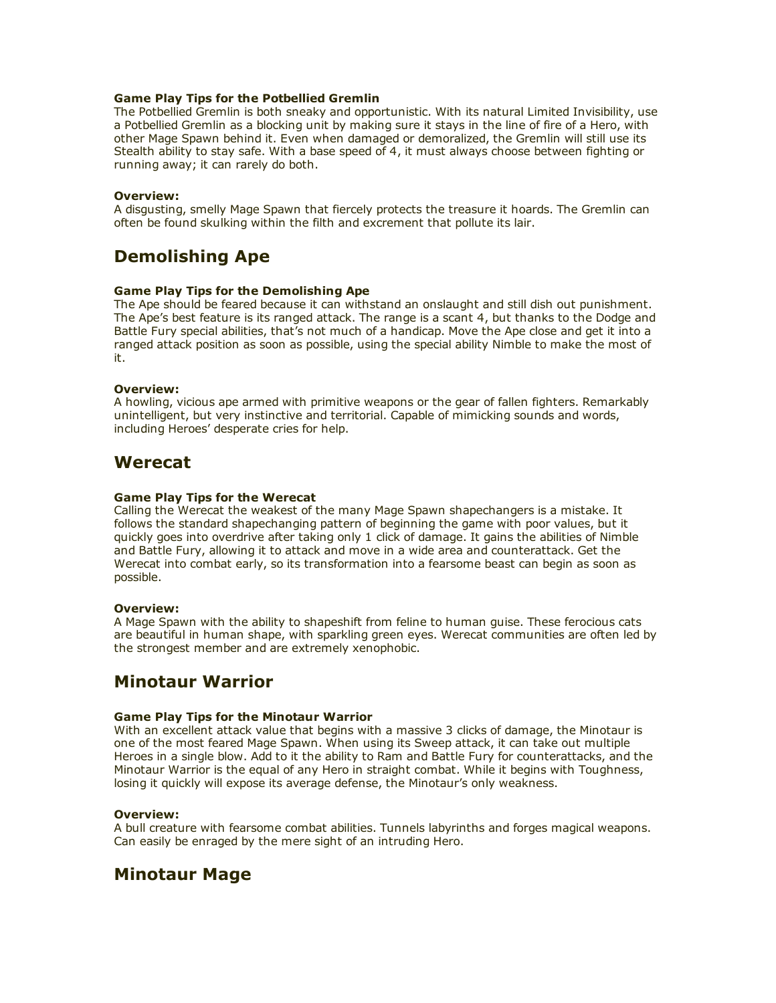### Game Play Tips for the Potbellied Gremlin

The Potbellied Gremlin is both sneaky and opportunistic. With its natural Limited Invisibility, use a Potbellied Gremlin as a blocking unit by making sure it stays in the line of fire of a Hero, with other Mage Spawn behind it. Even when damaged or demoralized, the Gremlin will still use its Stealth ability to stay safe. With a base speed of 4, it must always choose between fighting or running away; it can rarely do both.

### Overview:

A disgusting, smelly Mage Spawn that fiercely protects the treasure it hoards. The Gremlin can often be found skulking within the filth and excrement that pollute its lair.

# Demolishing Ape

## Game Play Tips for the Demolishing Ape

The Ape should be feared because it can withstand an onslaught and still dish out punishment. The Ape's best feature is its ranged attack. The range is a scant 4, but thanks to the Dodge and Battle Fury special abilities, that's not much of a handicap. Move the Ape close and get it into a ranged attack position as soon as possible, using the special ability Nimble to make the most of it.

## Overview:

A howling, vicious ape armed with primitive weapons or the gear of fallen fighters. Remarkably unintelligent, but very instinctive and territorial. Capable of mimicking sounds and words, including Heroes' desperate cries for help.

## Werecat

### Game Play Tips for the Werecat

Calling the Werecat the weakest of the many Mage Spawn shapechangers is a mistake. It follows the standard shapechanging pattern of beginning the game with poor values, but it quickly goes into overdrive after taking only 1 click of damage. It gains the abilities of Nimble and Battle Fury, allowing it to attack and move in a wide area and counterattack. Get the Werecat into combat early, so its transformation into a fearsome beast can begin as soon as possible.

#### Overview:

A Mage Spawn with the ability to shapeshift from feline to human guise. These ferocious cats are beautiful in human shape, with sparkling green eyes. Werecat communities are often led by the strongest member and are extremely xenophobic.

## Minotaur Warrior

### Game Play Tips for the Minotaur Warrior

With an excellent attack value that begins with a massive 3 clicks of damage, the Minotaur is one of the most feared Mage Spawn. When using its Sweep attack, it can take out multiple Heroes in a single blow. Add to it the ability to Ram and Battle Fury for counterattacks, and the Minotaur Warrior is the equal of any Hero in straight combat. While it begins with Toughness, losing it quickly will expose its average defense, the Minotaur's only weakness.

## Overview:

A bull creature with fearsome combat abilities. Tunnels labyrinths and forges magical weapons. Can easily be enraged by the mere sight of an intruding Hero.

## Minotaur Mage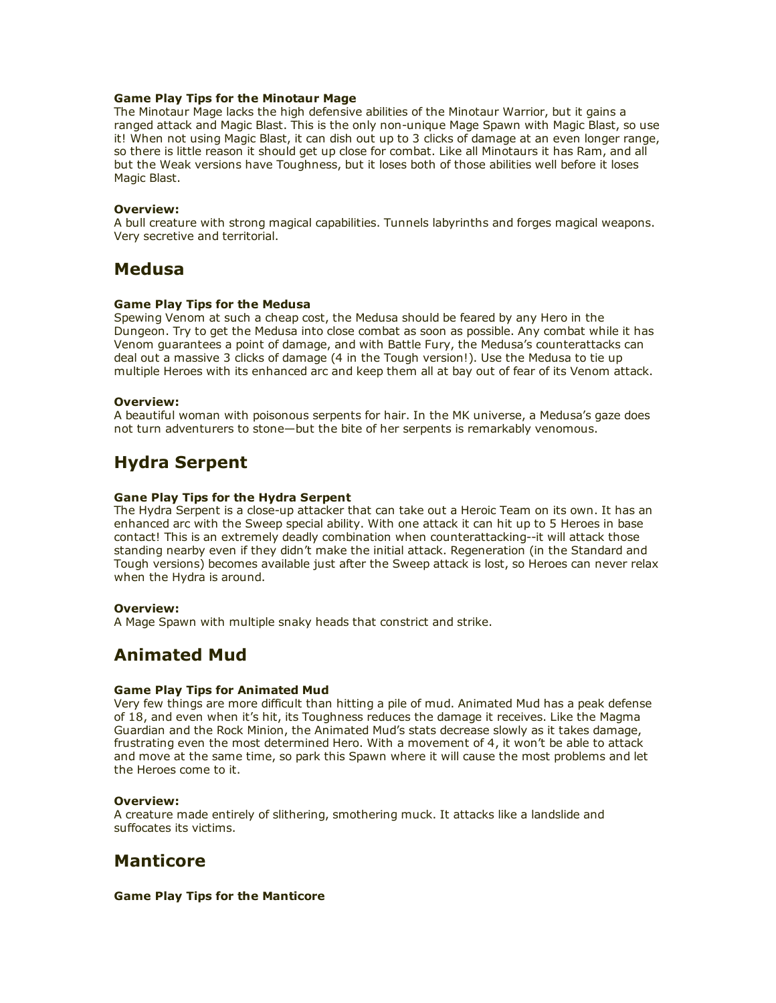### Game Play Tips for the Minotaur Mage

The Minotaur Mage lacks the high defensive abilities of the Minotaur Warrior, but it gains a ranged attack and Magic Blast. This is the only non-unique Mage Spawn with Magic Blast, so use it! When not using Magic Blast, it can dish out up to 3 clicks of damage at an even longer range, so there is little reason it should get up close for combat. Like all Minotaurs it has Ram, and all but the Weak versions have Toughness, but it loses both of those abilities well before it loses Magic Blast.

### Overview:

A bull creature with strong magical capabilities. Tunnels labyrinths and forges magical weapons. Very secretive and territorial.

## Medusa

### Game Play Tips for the Medusa

Spewing Venom at such a cheap cost, the Medusa should be feared by any Hero in the Dungeon. Try to get the Medusa into close combat as soon as possible. Any combat while it has Venom guarantees a point of damage, and with Battle Fury, the Medusa's counterattacks can deal out a massive 3 clicks of damage (4 in the Tough version!). Use the Medusa to tie up multiple Heroes with its enhanced arc and keep them all at bay out of fear of its Venom attack.

#### Overview:

A beautiful woman with poisonous serpents for hair. In the MK universe, a Medusa's gaze does not turn adventurers to stone—but the bite of her serpents is remarkably venomous.

## Hydra Serpent

### Gane Play Tips for the Hydra Serpent

The Hydra Serpent is a close-up attacker that can take out a Heroic Team on its own. It has an enhanced arc with the Sweep special ability. With one attack it can hit up to 5 Heroes in base contact! This is an extremely deadly combination when counterattacking--it will attack those standing nearby even if they didn't make the initial attack. Regeneration (in the Standard and Tough versions) becomes available just after the Sweep attack is lost, so Heroes can never relax when the Hydra is around.

#### Overview:

A Mage Spawn with multiple snaky heads that constrict and strike.

## Animated Mud

### Game Play Tips for Animated Mud

Very few things are more difficult than hitting a pile of mud. Animated Mud has a peak defense of 18, and even when it's hit, its Toughness reduces the damage it receives. Like the Magma Guardian and the Rock Minion, the Animated Mud's stats decrease slowly as it takes damage, frustrating even the most determined Hero. With a movement of 4, it won't be able to attack and move at the same time, so park this Spawn where it will cause the most problems and let the Heroes come to it.

#### Overview:

A creature made entirely of slithering, smothering muck. It attacks like a landslide and suffocates its victims.

## **Manticore**

#### Game Play Tips for the Manticore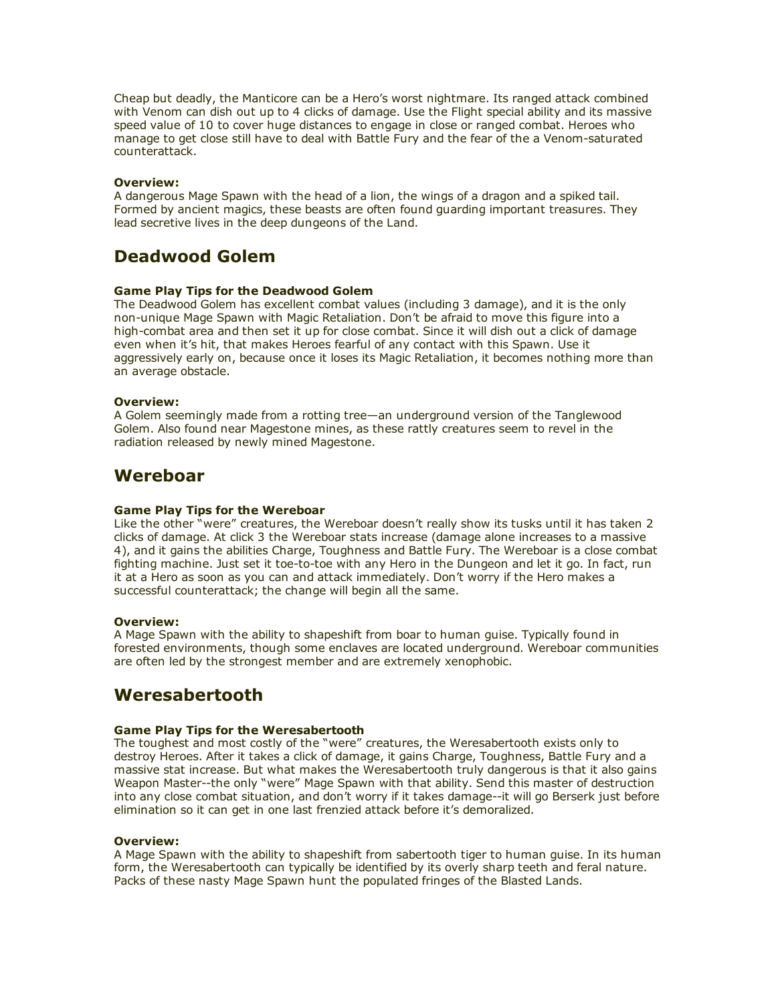Cheap but deadly, the Manticore can be a Hero's worst nightmare. Its ranged attack combined with Venom can dish out up to 4 clicks of damage. Use the Flight special ability and its massive speed value of 10 to cover huge distances to engage in close or ranged combat. Heroes who manage to get close still have to deal with Battle Fury and the fear of the a Venom-saturated counterattack.

### Overview:

A dangerous Mage Spawn with the head of a lion, the wings of a dragon and a spiked tail. Formed by ancient magics, these beasts are often found guarding important treasures. They lead secretive lives in the deep dungeons of the Land.

# Deadwood Golem

## Game Play Tips for the Deadwood Golem

The Deadwood Golem has excellent combat values (including 3 damage), and it is the only non-unique Mage Spawn with Magic Retaliation. Don't be afraid to move this figure into a high-combat area and then set it up for close combat. Since it will dish out a click of damage even when it's hit, that makes Heroes fearful of any contact with this Spawn. Use it aggressively early on, because once it loses its Magic Retaliation, it becomes nothing more than an average obstacle.

#### Overview:

A Golem seemingly made from a rotting tree—an underground version of the Tanglewood Golem. Also found near Magestone mines, as these rattly creatures seem to revel in the radiation released by newly mined Magestone.

## Wereboar

## Game Play Tips for the Wereboar

Like the other "were" creatures, the Wereboar doesn't really show its tusks until it has taken 2 clicks of damage. At click 3 the Wereboar stats increase (damage alone increases to a massive 4), and it gains the abilities Charge, Toughness and Battle Fury. The Wereboar is a close combat fighting machine. Just set it toe-to-toe with any Hero in the Dungeon and let it go. In fact, run it at a Hero as soon as you can and attack immediately. Don't worry if the Hero makes a successful counterattack; the change will begin all the same.

#### Overview:

A Mage Spawn with the ability to shapeshift from boar to human guise. Typically found in forested environments, though some enclaves are located underground. Wereboar communities are often led by the strongest member and are extremely xenophobic.

## Weresabertooth

## Game Play Tips for the Weresabertooth

The toughest and most costly of the "were" creatures, the Weresabertooth exists only to destroy Heroes. After it takes a click of damage, it gains Charge, Toughness, Battle Fury and a massive stat increase. But what makes the Weresabertooth truly dangerous is that it also gains Weapon Master--the only "were" Mage Spawn with that ability. Send this master of destruction into any close combat situation, and don't worry if it takes damage--it will go Berserk just before elimination so it can get in one last frenzied attack before it's demoralized.

#### Overview:

A Mage Spawn with the ability to shapeshift from sabertooth tiger to human guise. In its human form, the Weresabertooth can typically be identified by its overly sharp teeth and feral nature. Packs of these nasty Mage Spawn hunt the populated fringes of the Blasted Lands.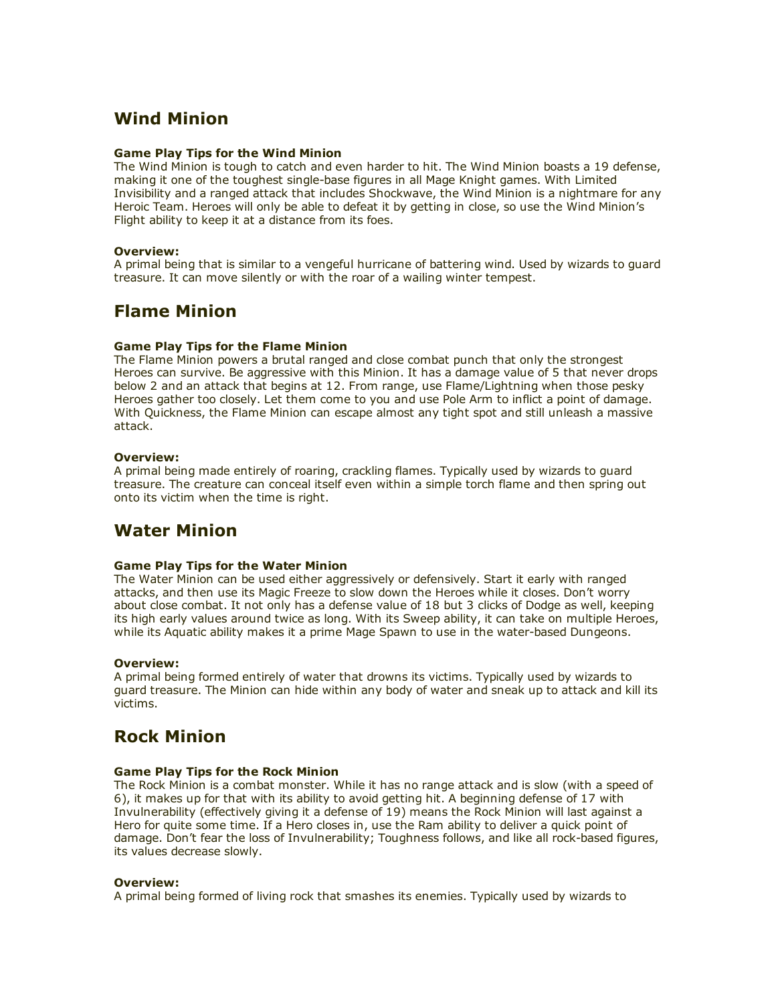# Wind Minion

## Game Play Tips for the Wind Minion

The Wind Minion is tough to catch and even harder to hit. The Wind Minion boasts a 19 defense, making it one of the toughest single-base figures in all Mage Knight games. With Limited Invisibility and a ranged attack that includes Shockwave, the Wind Minion is a nightmare for any Heroic Team. Heroes will only be able to defeat it by getting in close, so use the Wind Minion's Flight ability to keep it at a distance from its foes.

## Overview:

A primal being that is similar to a vengeful hurricane of battering wind. Used by wizards to guard treasure. It can move silently or with the roar of a wailing winter tempest.

# Flame Minion

## Game Play Tips for the Flame Minion

The Flame Minion powers a brutal ranged and close combat punch that only the strongest Heroes can survive. Be aggressive with this Minion. It has a damage value of 5 that never drops below 2 and an attack that begins at 12. From range, use Flame/Lightning when those pesky Heroes gather too closely. Let them come to you and use Pole Arm to inflict a point of damage. With Quickness, the Flame Minion can escape almost any tight spot and still unleash a massive attack.

## Overview:

A primal being made entirely of roaring, crackling flames. Typically used by wizards to guard treasure. The creature can conceal itself even within a simple torch flame and then spring out onto its victim when the time is right.

# Water Minion

## Game Play Tips for the Water Minion

The Water Minion can be used either aggressively or defensively. Start it early with ranged attacks, and then use its Magic Freeze to slow down the Heroes while it closes. Don't worry about close combat. It not only has a defense value of 18 but 3 clicks of Dodge as well, keeping its high early values around twice as long. With its Sweep ability, it can take on multiple Heroes, while its Aquatic ability makes it a prime Mage Spawn to use in the water-based Dungeons.

## Overview:

A primal being formed entirely of water that drowns its victims. Typically used by wizards to guard treasure. The Minion can hide within any body of water and sneak up to attack and kill its victims.

# Rock Minion

## Game Play Tips for the Rock Minion

The Rock Minion is a combat monster. While it has no range attack and is slow (with a speed of 6), it makes up for that with its ability to avoid getting hit. A beginning defense of 17 with Invulnerability (effectively giving it a defense of 19) means the Rock Minion will last against a Hero for quite some time. If a Hero closes in, use the Ram ability to deliver a quick point of damage. Don't fear the loss of Invulnerability; Toughness follows, and like all rock-based figures, its values decrease slowly.

## Overview:

A primal being formed of living rock that smashes its enemies. Typically used by wizards to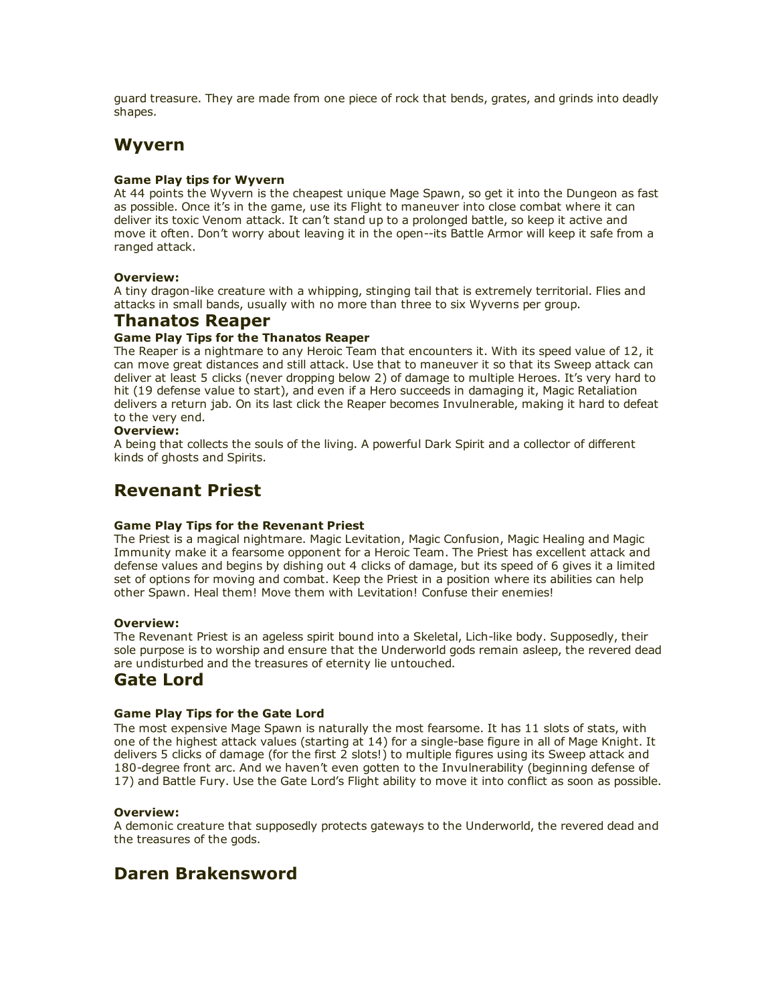guard treasure. They are made from one piece of rock that bends, grates, and grinds into deadly shapes.

## Wyvern

## Game Play tips for Wyvern

At 44 points the Wyvern is the cheapest unique Mage Spawn, so get it into the Dungeon as fast as possible. Once it's in the game, use its Flight to maneuver into close combat where it can deliver its toxic Venom attack. It can't stand up to a prolonged battle, so keep it active and move it often. Don't worry about leaving it in the open--its Battle Armor will keep it safe from a ranged attack.

## Overview:

A tiny dragon-like creature with a whipping, stinging tail that is extremely territorial. Flies and attacks in small bands, usually with no more than three to six Wyverns per group.

## Thanatos Reaper

## Game Play Tips for the Thanatos Reaper

The Reaper is a nightmare to any Heroic Team that encounters it. With its speed value of 12, it can move great distances and still attack. Use that to maneuver it so that its Sweep attack can deliver at least 5 clicks (never dropping below 2) of damage to multiple Heroes. It's very hard to hit (19 defense value to start), and even if a Hero succeeds in damaging it, Magic Retaliation delivers a return jab. On its last click the Reaper becomes Invulnerable, making it hard to defeat to the very end.

## Overview:

A being that collects the souls of the living. A powerful Dark Spirit and a collector of different kinds of ghosts and Spirits.

## Revenant Priest

## Game Play Tips for the Revenant Priest

The Priest is a magical nightmare. Magic Levitation, Magic Confusion, Magic Healing and Magic Immunity make it a fearsome opponent for a Heroic Team. The Priest has excellent attack and defense values and begins by dishing out 4 clicks of damage, but its speed of 6 gives it a limited set of options for moving and combat. Keep the Priest in a position where its abilities can help other Spawn. Heal them! Move them with Levitation! Confuse their enemies!

## Overview:

The Revenant Priest is an ageless spirit bound into a Skeletal, Lich-like body. Supposedly, their sole purpose is to worship and ensure that the Underworld gods remain asleep, the revered dead are undisturbed and the treasures of eternity lie untouched.

## Gate Lord

## Game Play Tips for the Gate Lord

The most expensive Mage Spawn is naturally the most fearsome. It has 11 slots of stats, with one of the highest attack values (starting at 14) for a single-base figure in all of Mage Knight. It delivers 5 clicks of damage (for the first 2 slots!) to multiple figures using its Sweep attack and 180-degree front arc. And we haven't even gotten to the Invulnerability (beginning defense of 17) and Battle Fury. Use the Gate Lord's Flight ability to move it into conflict as soon as possible.

## Overview:

A demonic creature that supposedly protects gateways to the Underworld, the revered dead and the treasures of the gods.

## Daren Brakensword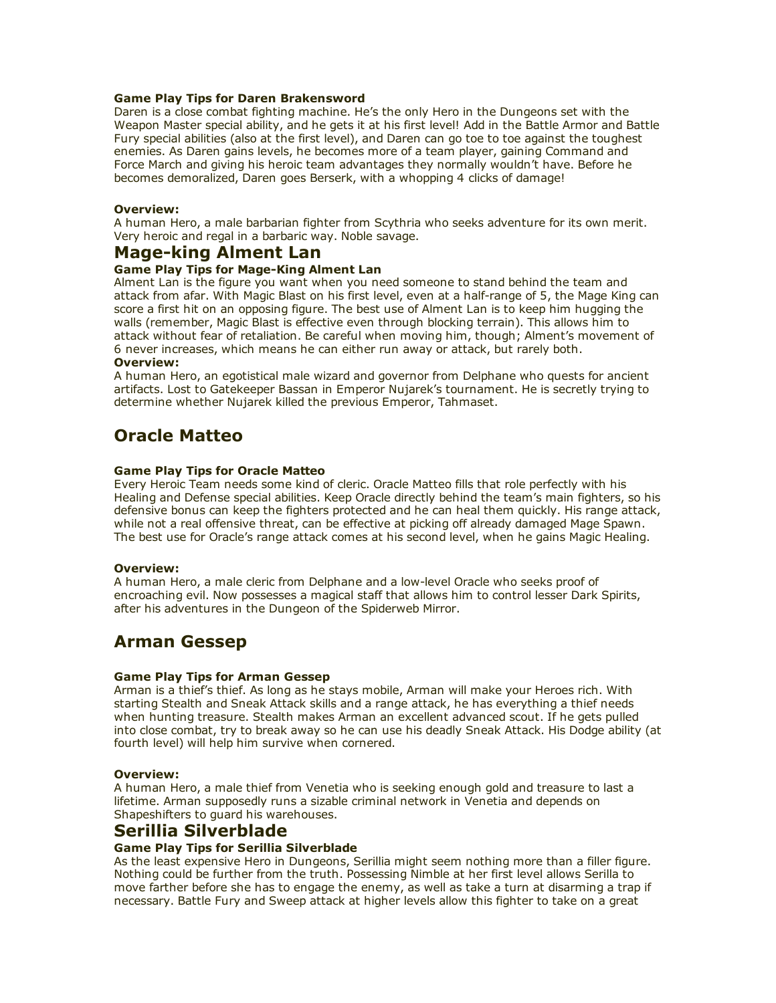## Game Play Tips for Daren Brakensword

Daren is a close combat fighting machine. He's the only Hero in the Dungeons set with the Weapon Master special ability, and he gets it at his first level! Add in the Battle Armor and Battle Fury special abilities (also at the first level), and Daren can go toe to toe against the toughest enemies. As Daren gains levels, he becomes more of a team player, gaining Command and Force March and giving his heroic team advantages they normally wouldn't have. Before he becomes demoralized, Daren goes Berserk, with a whopping 4 clicks of damage!

### Overview:

A human Hero, a male barbarian fighter from Scythria who seeks adventure for its own merit. Very heroic and regal in a barbaric way. Noble savage.

## Mage-king Alment Lan

## Game Play Tips for Mage-King Alment Lan

Alment Lan is the figure you want when you need someone to stand behind the team and attack from afar. With Magic Blast on his first level, even at a half-range of 5, the Mage King can score a first hit on an opposing figure. The best use of Alment Lan is to keep him hugging the walls (remember, Magic Blast is effective even through blocking terrain). This allows him to attack without fear of retaliation. Be careful when moving him, though; Alment's movement of 6 never increases, which means he can either run away or attack, but rarely both.

## Overview:

A human Hero, an egotistical male wizard and governor from Delphane who quests for ancient artifacts. Lost to Gatekeeper Bassan in Emperor Nujarek's tournament. He is secretly trying to determine whether Nujarek killed the previous Emperor, Tahmaset.

## Oracle Matteo

### Game Play Tips for Oracle Matteo

Every Heroic Team needs some kind of cleric. Oracle Matteo fills that role perfectly with his Healing and Defense special abilities. Keep Oracle directly behind the team's main fighters, so his defensive bonus can keep the fighters protected and he can heal them quickly. His range attack, while not a real offensive threat, can be effective at picking off already damaged Mage Spawn. The best use for Oracle's range attack comes at his second level, when he gains Magic Healing.

#### Overview:

A human Hero, a male cleric from Delphane and a low-level Oracle who seeks proof of encroaching evil. Now possesses a magical staff that allows him to control lesser Dark Spirits, after his adventures in the Dungeon of the Spiderweb Mirror.

## Arman Gessep

#### Game Play Tips for Arman Gessep

Arman is a thief's thief. As long as he stays mobile, Arman will make your Heroes rich. With starting Stealth and Sneak Attack skills and a range attack, he has everything a thief needs when hunting treasure. Stealth makes Arman an excellent advanced scout. If he gets pulled into close combat, try to break away so he can use his deadly Sneak Attack. His Dodge ability (at fourth level) will help him survive when cornered.

#### Overview:

A human Hero, a male thief from Venetia who is seeking enough gold and treasure to last a lifetime. Arman supposedly runs a sizable criminal network in Venetia and depends on Shapeshifters to guard his warehouses.

## Serillia Silverblade

## Game Play Tips for Serillia Silverblade

As the least expensive Hero in Dungeons, Serillia might seem nothing more than a filler figure. Nothing could be further from the truth. Possessing Nimble at her first level allows Serilla to move farther before she has to engage the enemy, as well as take a turn at disarming a trap if necessary. Battle Fury and Sweep attack at higher levels allow this fighter to take on a great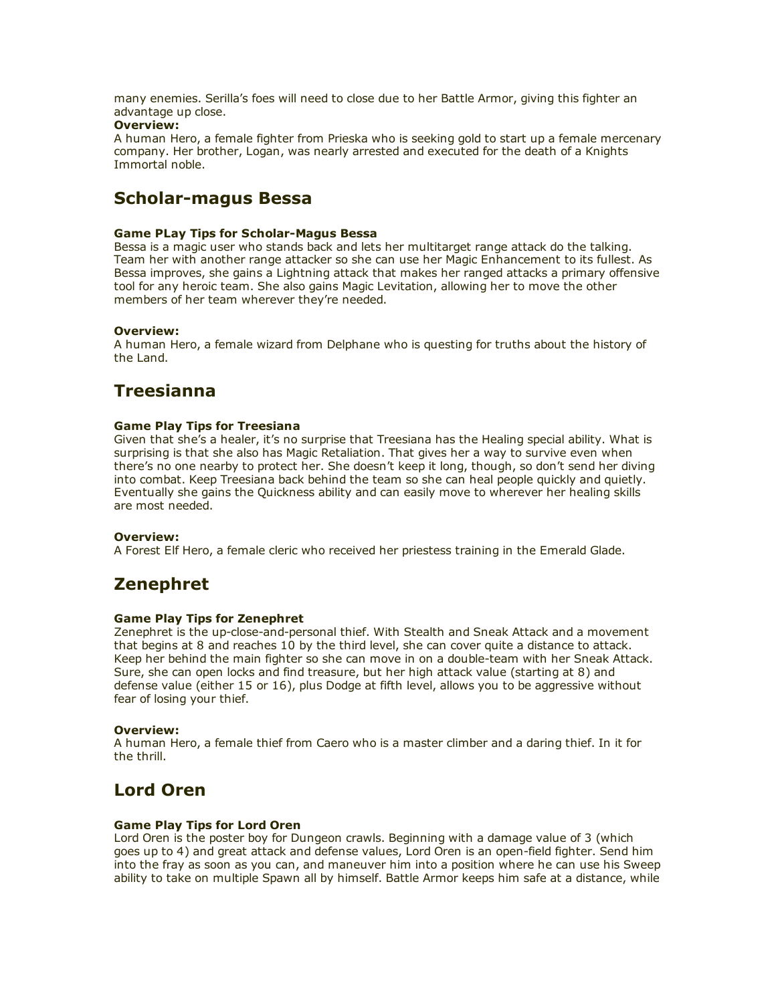many enemies. Serilla's foes will need to close due to her Battle Armor, giving this fighter an advantage up close.

## Overview:

A human Hero, a female fighter from Prieska who is seeking gold to start up a female mercenary company. Her brother, Logan, was nearly arrested and executed for the death of a Knights Immortal noble.

## Scholar-magus Bessa

## Game PLay Tips for Scholar-Magus Bessa

Bessa is a magic user who stands back and lets her multitarget range attack do the talking. Team her with another range attacker so she can use her Magic Enhancement to its fullest. As Bessa improves, she gains a Lightning attack that makes her ranged attacks a primary offensive tool for any heroic team. She also gains Magic Levitation, allowing her to move the other members of her team wherever they're needed.

### Overview:

A human Hero, a female wizard from Delphane who is questing for truths about the history of the Land.

# **Treesianna**

## Game Play Tips for Treesiana

Given that she's a healer, it's no surprise that Treesiana has the Healing special ability. What is surprising is that she also has Magic Retaliation. That gives her a way to survive even when there's no one nearby to protect her. She doesn't keep it long, though, so don't send her diving into combat. Keep Treesiana back behind the team so she can heal people quickly and quietly. Eventually she gains the Quickness ability and can easily move to wherever her healing skills are most needed.

#### Overview:

A Forest Elf Hero, a female cleric who received her priestess training in the Emerald Glade.

## Zenephret

## Game Play Tips for Zenephret

Zenephret is the up-close-and-personal thief. With Stealth and Sneak Attack and a movement that begins at 8 and reaches 10 by the third level, she can cover quite a distance to attack. Keep her behind the main fighter so she can move in on a double-team with her Sneak Attack. Sure, she can open locks and find treasure, but her high attack value (starting at 8) and defense value (either 15 or 16), plus Dodge at fifth level, allows you to be aggressive without fear of losing your thief.

### Overview:

A human Hero, a female thief from Caero who is a master climber and a daring thief. In it for the thrill.

## Lord Oren

## Game Play Tips for Lord Oren

Lord Oren is the poster boy for Dungeon crawls. Beginning with a damage value of 3 (which goes up to 4) and great attack and defense values, Lord Oren is an open-field fighter. Send him into the fray as soon as you can, and maneuver him into a position where he can use his Sweep ability to take on multiple Spawn all by himself. Battle Armor keeps him safe at a distance, while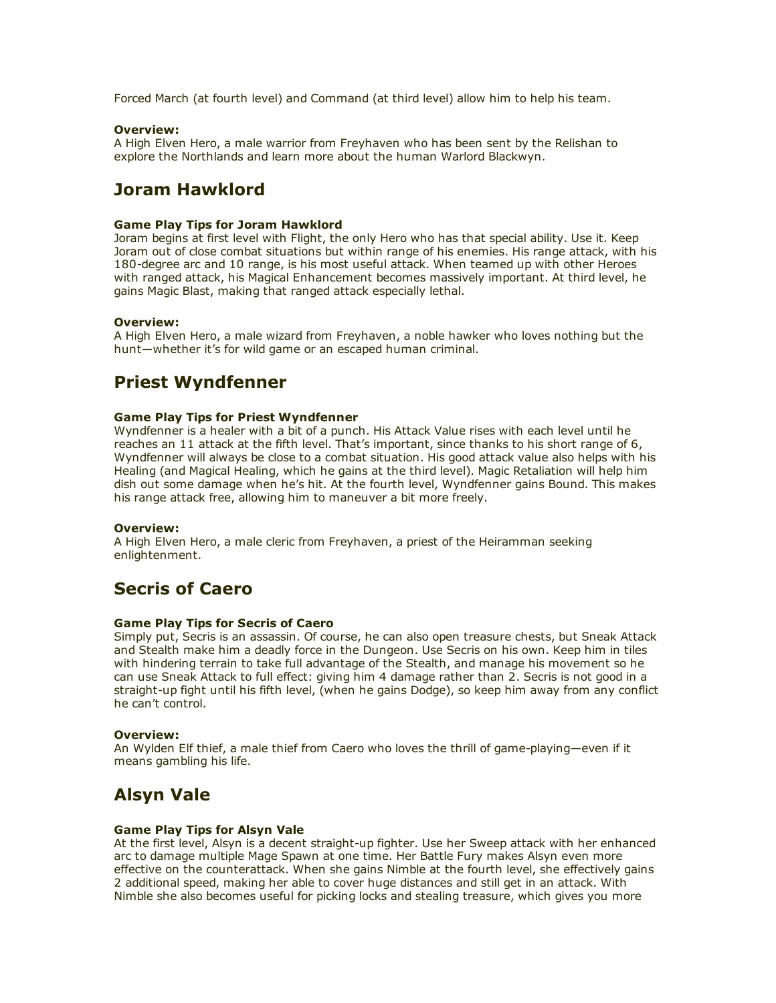Forced March (at fourth level) and Command (at third level) allow him to help his team.

### Overview:

A High Elven Hero, a male warrior from Freyhaven who has been sent by the Relishan to explore the Northlands and learn more about the human Warlord Blackwyn.

## Joram Hawklord

## Game Play Tips for Joram Hawklord

Joram begins at first level with Flight, the only Hero who has that special ability. Use it. Keep Joram out of close combat situations but within range of his enemies. His range attack, with his 180-degree arc and 10 range, is his most useful attack. When teamed up with other Heroes with ranged attack, his Magical Enhancement becomes massively important. At third level, he gains Magic Blast, making that ranged attack especially lethal.

### Overview:

A High Elven Hero, a male wizard from Freyhaven, a noble hawker who loves nothing but the hunt—whether it's for wild game or an escaped human criminal.

## Priest Wyndfenner

### Game Play Tips for Priest Wyndfenner

Wyndfenner is a healer with a bit of a punch. His Attack Value rises with each level until he reaches an 11 attack at the fifth level. That's important, since thanks to his short range of 6, Wyndfenner will always be close to a combat situation. His good attack value also helps with his Healing (and Magical Healing, which he gains at the third level). Magic Retaliation will help him dish out some damage when he's hit. At the fourth level, Wyndfenner gains Bound. This makes his range attack free, allowing him to maneuver a bit more freely.

#### Overview:

A High Elven Hero, a male cleric from Freyhaven, a priest of the Heiramman seeking enlightenment.

## Secris of Caero

#### Game Play Tips for Secris of Caero

Simply put, Secris is an assassin. Of course, he can also open treasure chests, but Sneak Attack and Stealth make him a deadly force in the Dungeon. Use Secris on his own. Keep him in tiles with hindering terrain to take full advantage of the Stealth, and manage his movement so he can use Sneak Attack to full effect: giving him 4 damage rather than 2. Secris is not good in a straight-up fight until his fifth level, (when he gains Dodge), so keep him away from any conflict he can't control.

#### Overview:

An Wylden Elf thief, a male thief from Caero who loves the thrill of game-playing—even if it means gambling his life.

## Alsyn Vale

### Game Play Tips for Alsyn Vale

At the first level, Alsyn is a decent straight-up fighter. Use her Sweep attack with her enhanced arc to damage multiple Mage Spawn at one time. Her Battle Fury makes Alsyn even more effective on the counterattack. When she gains Nimble at the fourth level, she effectively gains 2 additional speed, making her able to cover huge distances and still get in an attack. With Nimble she also becomes useful for picking locks and stealing treasure, which gives you more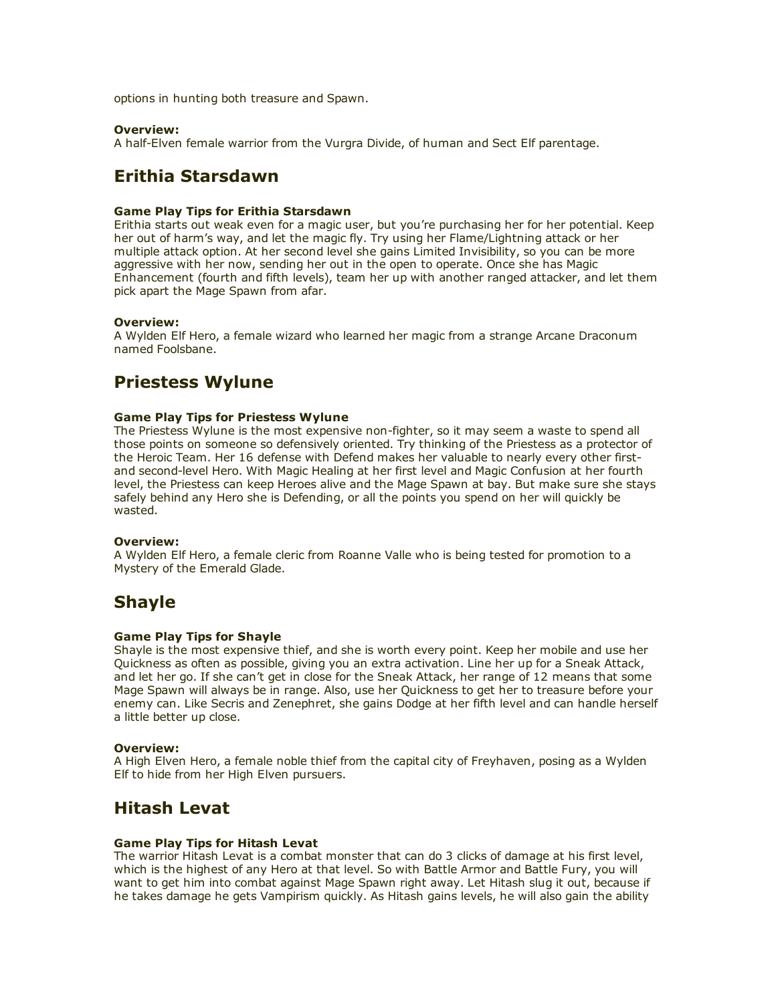options in hunting both treasure and Spawn.

### Overview:

A half-Elven female warrior from the Vurgra Divide, of human and Sect Elf parentage.

# Erithia Starsdawn

## Game Play Tips for Erithia Starsdawn

Erithia starts out weak even for a magic user, but you're purchasing her for her potential. Keep her out of harm's way, and let the magic fly. Try using her Flame/Lightning attack or her multiple attack option. At her second level she gains Limited Invisibility, so you can be more aggressive with her now, sending her out in the open to operate. Once she has Magic Enhancement (fourth and fifth levels), team her up with another ranged attacker, and let them pick apart the Mage Spawn from afar.

### Overview:

A Wylden Elf Hero, a female wizard who learned her magic from a strange Arcane Draconum named Foolsbane.

# Priestess Wylune

### Game Play Tips for Priestess Wylune

The Priestess Wylune is the most expensive non-fighter, so it may seem a waste to spend all those points on someone so defensively oriented. Try thinking of the Priestess as a protector of the Heroic Team. Her 16 defense with Defend makes her valuable to nearly every other firstand second-level Hero. With Magic Healing at her first level and Magic Confusion at her fourth level, the Priestess can keep Heroes alive and the Mage Spawn at bay. But make sure she stays safely behind any Hero she is Defending, or all the points you spend on her will quickly be wasted.

### Overview:

A Wylden Elf Hero, a female cleric from Roanne Valle who is being tested for promotion to a Mystery of the Emerald Glade.

## Shayle

#### Game Play Tips for Shayle

Shayle is the most expensive thief, and she is worth every point. Keep her mobile and use her Quickness as often as possible, giving you an extra activation. Line her up for a Sneak Attack, and let her go. If she can't get in close for the Sneak Attack, her range of 12 means that some Mage Spawn will always be in range. Also, use her Quickness to get her to treasure before your enemy can. Like Secris and Zenephret, she gains Dodge at her fifth level and can handle herself a little better up close.

#### Overview:

A High Elven Hero, a female noble thief from the capital city of Freyhaven, posing as a Wylden Elf to hide from her High Elven pursuers.

## Hitash Levat

## Game Play Tips for Hitash Levat

The warrior Hitash Levat is a combat monster that can do 3 clicks of damage at his first level, which is the highest of any Hero at that level. So with Battle Armor and Battle Fury, you will want to get him into combat against Mage Spawn right away. Let Hitash slug it out, because if he takes damage he gets Vampirism quickly. As Hitash gains levels, he will also gain the ability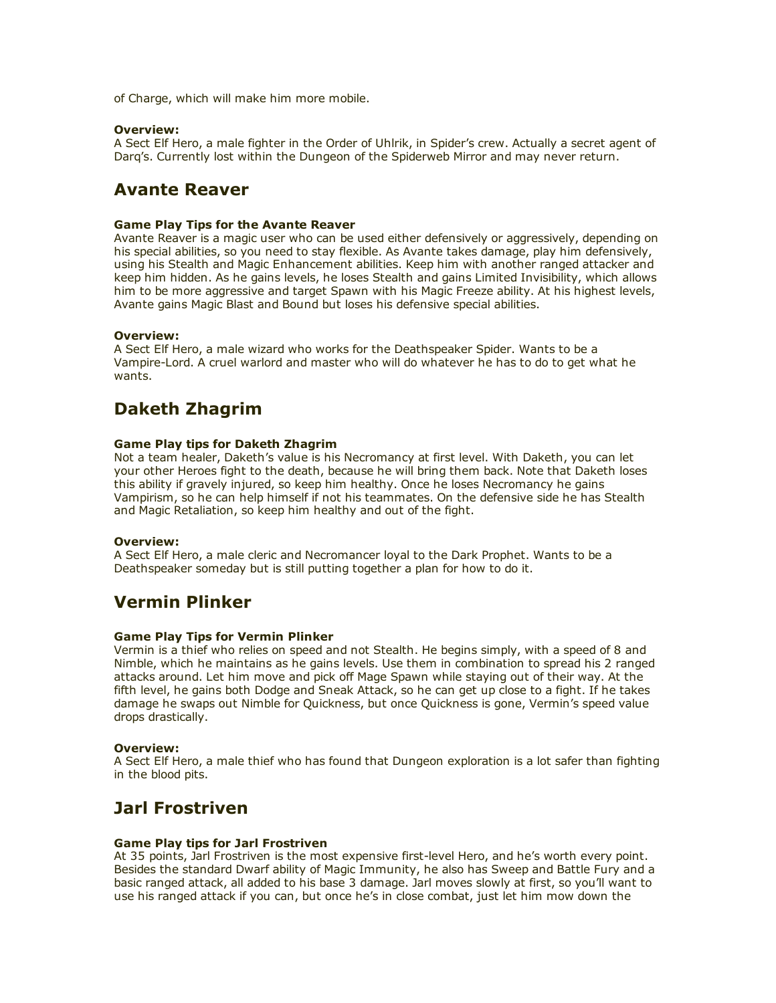of Charge, which will make him more mobile.

### Overview:

A Sect Elf Hero, a male fighter in the Order of Uhlrik, in Spider's crew. Actually a secret agent of Darq's. Currently lost within the Dungeon of the Spiderweb Mirror and may never return.

## Avante Reaver

### Game Play Tips for the Avante Reaver

Avante Reaver is a magic user who can be used either defensively or aggressively, depending on his special abilities, so you need to stay flexible. As Avante takes damage, play him defensively, using his Stealth and Magic Enhancement abilities. Keep him with another ranged attacker and keep him hidden. As he gains levels, he loses Stealth and gains Limited Invisibility, which allows him to be more aggressive and target Spawn with his Magic Freeze ability. At his highest levels, Avante gains Magic Blast and Bound but loses his defensive special abilities.

## Overview:

A Sect Elf Hero, a male wizard who works for the Deathspeaker Spider. Wants to be a VampireLord. A cruel warlord and master who will do whatever he has to do to get what he wants.

# Daketh Zhagrim

### Game Play tips for Daketh Zhagrim

Not a team healer, Daketh's value is his Necromancy at first level. With Daketh, you can let your other Heroes fight to the death, because he will bring them back. Note that Daketh loses this ability if gravely injured, so keep him healthy. Once he loses Necromancy he gains Vampirism, so he can help himself if not his teammates. On the defensive side he has Stealth and Magic Retaliation, so keep him healthy and out of the fight.

### Overview:

A Sect Elf Hero, a male cleric and Necromancer loyal to the Dark Prophet. Wants to be a Deathspeaker someday but is still putting together a plan for how to do it.

## Vermin Plinker

## Game Play Tips for Vermin Plinker

Vermin is a thief who relies on speed and not Stealth. He begins simply, with a speed of 8 and Nimble, which he maintains as he gains levels. Use them in combination to spread his 2 ranged attacks around. Let him move and pick off Mage Spawn while staying out of their way. At the fifth level, he gains both Dodge and Sneak Attack, so he can get up close to a fight. If he takes damage he swaps out Nimble for Quickness, but once Quickness is gone, Vermin's speed value drops drastically.

#### Overview:

A Sect Elf Hero, a male thief who has found that Dungeon exploration is a lot safer than fighting in the blood pits.

## Jarl Frostriven

## Game Play tips for Jarl Frostriven

At 35 points, Jarl Frostriven is the most expensive first-level Hero, and he's worth every point. Besides the standard Dwarf ability of Magic Immunity, he also has Sweep and Battle Fury and a basic ranged attack, all added to his base 3 damage. Jarl moves slowly at first, so you'll want to use his ranged attack if you can, but once he's in close combat, just let him mow down the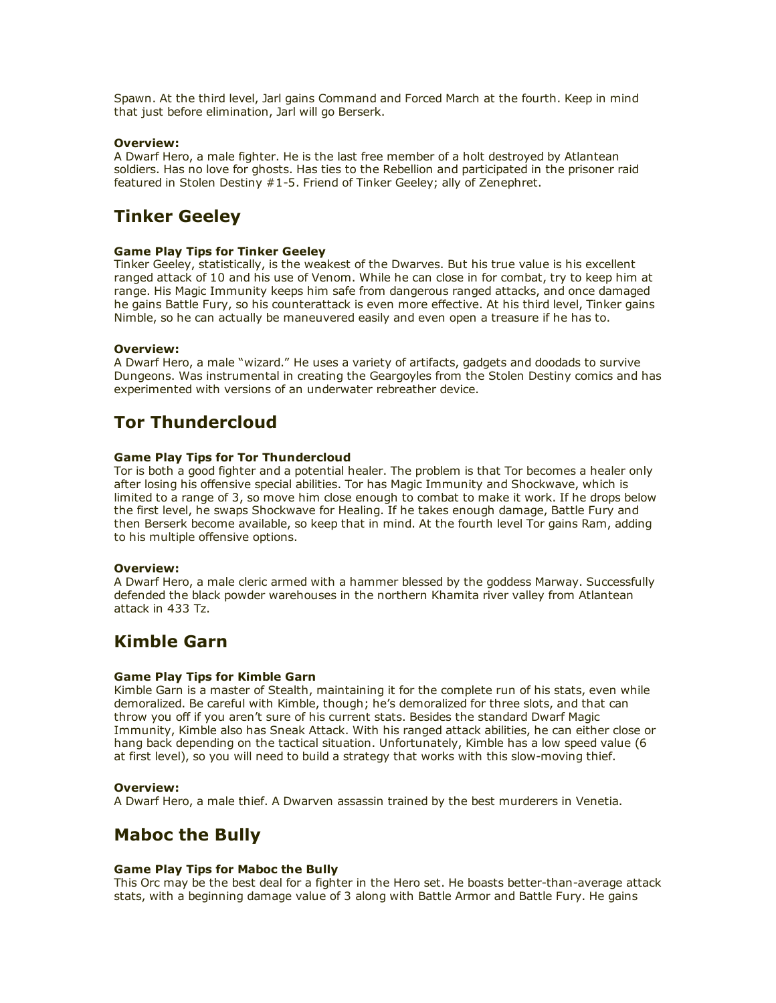Spawn. At the third level, Jarl gains Command and Forced March at the fourth. Keep in mind that just before elimination, Jarl will go Berserk.

## Overview:

A Dwarf Hero, a male fighter. He is the last free member of a holt destroyed by Atlantean soldiers. Has no love for ghosts. Has ties to the Rebellion and participated in the prisoner raid featured in Stolen Destiny #15. Friend of Tinker Geeley; ally of Zenephret.

## Tinker Geeley

### Game Play Tips for Tinker Geeley

Tinker Geeley, statistically, is the weakest of the Dwarves. But his true value is his excellent ranged attack of 10 and his use of Venom. While he can close in for combat, try to keep him at range. His Magic Immunity keeps him safe from dangerous ranged attacks, and once damaged he gains Battle Fury, so his counterattack is even more effective. At his third level, Tinker gains Nimble, so he can actually be maneuvered easily and even open a treasure if he has to.

### Overview:

A Dwarf Hero, a male "wizard." He uses a variety of artifacts, gadgets and doodads to survive Dungeons. Was instrumental in creating the Geargoyles from the Stolen Destiny comics and has experimented with versions of an underwater rebreather device.

## Tor Thundercloud

### Game Play Tips for Tor Thundercloud

Tor is both a good fighter and a potential healer. The problem is that Tor becomes a healer only after losing his offensive special abilities. Tor has Magic Immunity and Shockwave, which is limited to a range of 3, so move him close enough to combat to make it work. If he drops below the first level, he swaps Shockwave for Healing. If he takes enough damage, Battle Fury and then Berserk become available, so keep that in mind. At the fourth level Tor gains Ram, adding to his multiple offensive options.

#### Overview:

A Dwarf Hero, a male cleric armed with a hammer blessed by the goddess Marway. Successfully defended the black powder warehouses in the northern Khamita river valley from Atlantean attack in 433 Tz.

## Kimble Garn

## Game Play Tips for Kimble Garn

Kimble Garn is a master of Stealth, maintaining it for the complete run of his stats, even while demoralized. Be careful with Kimble, though; he's demoralized for three slots, and that can throw you off if you aren't sure of his current stats. Besides the standard Dwarf Magic Immunity, Kimble also has Sneak Attack. With his ranged attack abilities, he can either close or hang back depending on the tactical situation. Unfortunately, Kimble has a low speed value (6 at first level), so you will need to build a strategy that works with this slow-moving thief.

#### Overview:

A Dwarf Hero, a male thief. A Dwarven assassin trained by the best murderers in Venetia.

## Maboc the Bully

## Game Play Tips for Maboc the Bully

This Orc may be the best deal for a fighter in the Hero set. He boasts better-than-average attack stats, with a beginning damage value of 3 along with Battle Armor and Battle Fury. He gains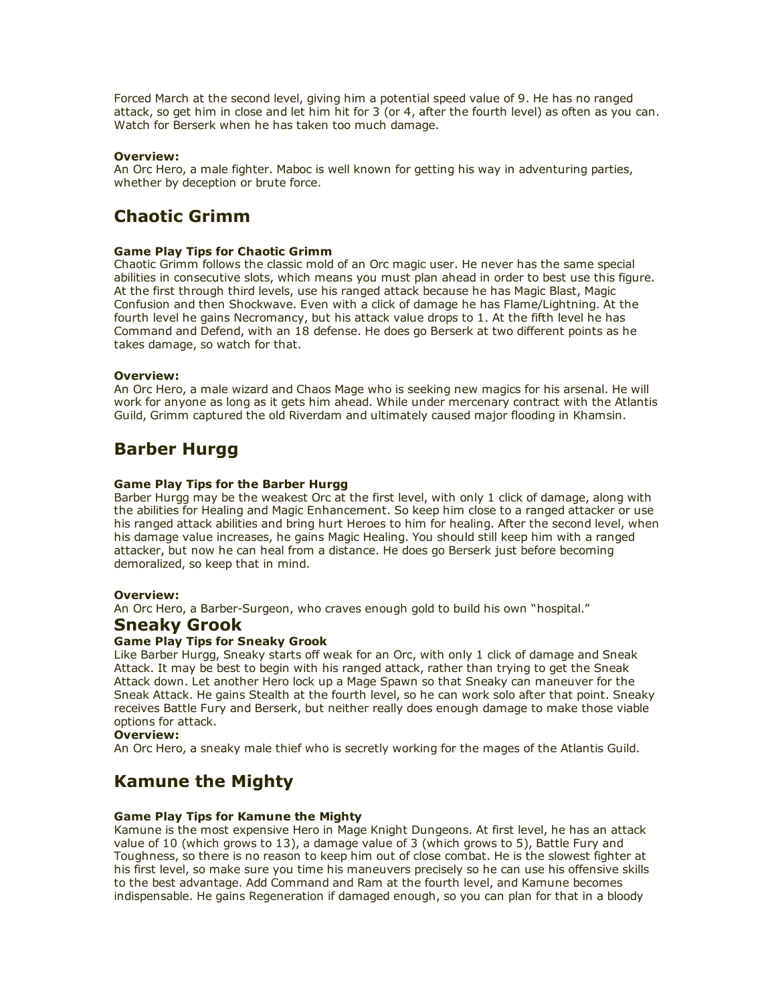Forced March at the second level, giving him a potential speed value of 9. He has no ranged attack, so get him in close and let him hit for 3 (or 4, after the fourth level) as often as you can. Watch for Berserk when he has taken too much damage.

## Overview:

An Orc Hero, a male fighter. Maboc is well known for getting his way in adventuring parties, whether by deception or brute force.

# Chaotic Grimm

## Game Play Tips for Chaotic Grimm

Chaotic Grimm follows the classic mold of an Orc magic user. He never has the same special abilities in consecutive slots, which means you must plan ahead in order to best use this figure. At the first through third levels, use his ranged attack because he has Magic Blast, Magic Confusion and then Shockwave. Even with a click of damage he has Flame/Lightning. At the fourth level he gains Necromancy, but his attack value drops to 1. At the fifth level he has Command and Defend, with an 18 defense. He does go Berserk at two different points as he takes damage, so watch for that.

## Overview:

An Orc Hero, a male wizard and Chaos Mage who is seeking new magics for his arsenal. He will work for anyone as long as it gets him ahead. While under mercenary contract with the Atlantis Guild, Grimm captured the old Riverdam and ultimately caused major flooding in Khamsin.

# Barber Hurgg

## Game Play Tips for the Barber Hurgg

Barber Hurgg may be the weakest Orc at the first level, with only 1 click of damage, along with the abilities for Healing and Magic Enhancement. So keep him close to a ranged attacker or use his ranged attack abilities and bring hurt Heroes to him for healing. After the second level, when his damage value increases, he gains Magic Healing. You should still keep him with a ranged attacker, but now he can heal from a distance. He does go Berserk just before becoming demoralized, so keep that in mind.

## Overview:

An Orc Hero, a Barber-Surgeon, who craves enough gold to build his own "hospital."

## Sneaky Grook

## Game Play Tips for Sneaky Grook

Like Barber Hurgg, Sneaky starts off weak for an Orc, with only 1 click of damage and Sneak Attack. It may be best to begin with his ranged attack, rather than trying to get the Sneak Attack down. Let another Hero lock up a Mage Spawn so that Sneaky can maneuver for the Sneak Attack. He gains Stealth at the fourth level, so he can work solo after that point. Sneaky receives Battle Fury and Berserk, but neither really does enough damage to make those viable options for attack.

## Overview:

An Orc Hero, a sneaky male thief who is secretly working for the mages of the Atlantis Guild.

# Kamune the Mighty

## Game Play Tips for Kamune the Mighty

Kamune is the most expensive Hero in Mage Knight Dungeons. At first level, he has an attack value of 10 (which grows to 13), a damage value of 3 (which grows to 5), Battle Fury and Toughness, so there is no reason to keep him out of close combat. He is the slowest fighter at his first level, so make sure you time his maneuvers precisely so he can use his offensive skills to the best advantage. Add Command and Ram at the fourth level, and Kamune becomes indispensable. He gains Regeneration if damaged enough, so you can plan for that in a bloody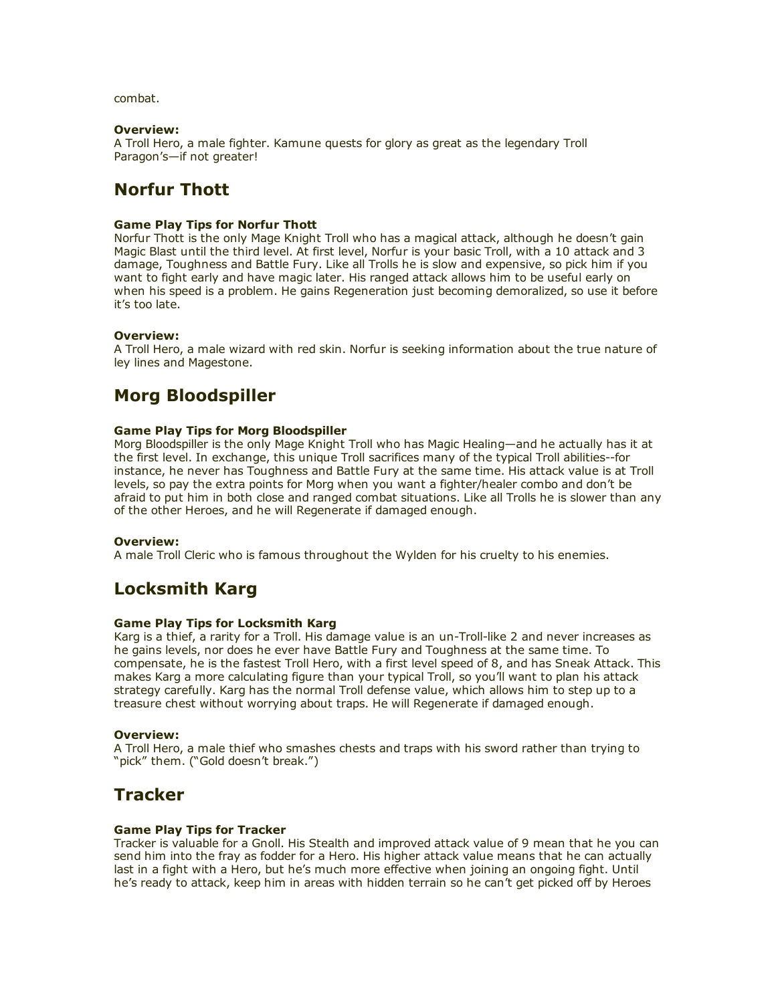combat.

## Overview:

A Troll Hero, a male fighter. Kamune quests for glory as great as the legendary Troll Paragon's—if not greater!

# Norfur Thott

### Game Play Tips for Norfur Thott

Norfur Thott is the only Mage Knight Troll who has a magical attack, although he doesn't gain Magic Blast until the third level. At first level, Norfur is your basic Troll, with a 10 attack and 3 damage, Toughness and Battle Fury. Like all Trolls he is slow and expensive, so pick him if you want to fight early and have magic later. His ranged attack allows him to be useful early on when his speed is a problem. He gains Regeneration just becoming demoralized, so use it before it's too late.

## Overview:

A Troll Hero, a male wizard with red skin. Norfur is seeking information about the true nature of ley lines and Magestone.

## Morg Bloodspiller

### Game Play Tips for Morg Bloodspiller

Morg Bloodspiller is the only Mage Knight Troll who has Magic Healing—and he actually has it at the first level. In exchange, this unique Troll sacrifices many of the typical Troll abilities--for instance, he never has Toughness and Battle Fury at the same time. His attack value is at Troll levels, so pay the extra points for Morg when you want a fighter/healer combo and don't be afraid to put him in both close and ranged combat situations. Like all Trolls he is slower than any of the other Heroes, and he will Regenerate if damaged enough.

#### Overview:

A male Troll Cleric who is famous throughout the Wylden for his cruelty to his enemies.

## Locksmith Karg

#### Game Play Tips for Locksmith Karg

Karg is a thief, a rarity for a Troll. His damage value is an un-Troll-like 2 and never increases as he gains levels, nor does he ever have Battle Fury and Toughness at the same time. To compensate, he is the fastest Troll Hero, with a first level speed of 8, and has Sneak Attack. This makes Karg a more calculating figure than your typical Troll, so you'll want to plan his attack strategy carefully. Karg has the normal Troll defense value, which allows him to step up to a treasure chest without worrying about traps. He will Regenerate if damaged enough.

## Overview:

A Troll Hero, a male thief who smashes chests and traps with his sword rather than trying to "pick" them. ("Gold doesn't break.")

## **Tracker**

## Game Play Tips for Tracker

Tracker is valuable for a Gnoll. His Stealth and improved attack value of 9 mean that he you can send him into the fray as fodder for a Hero. His higher attack value means that he can actually last in a fight with a Hero, but he's much more effective when joining an ongoing fight. Until he's ready to attack, keep him in areas with hidden terrain so he can't get picked off by Heroes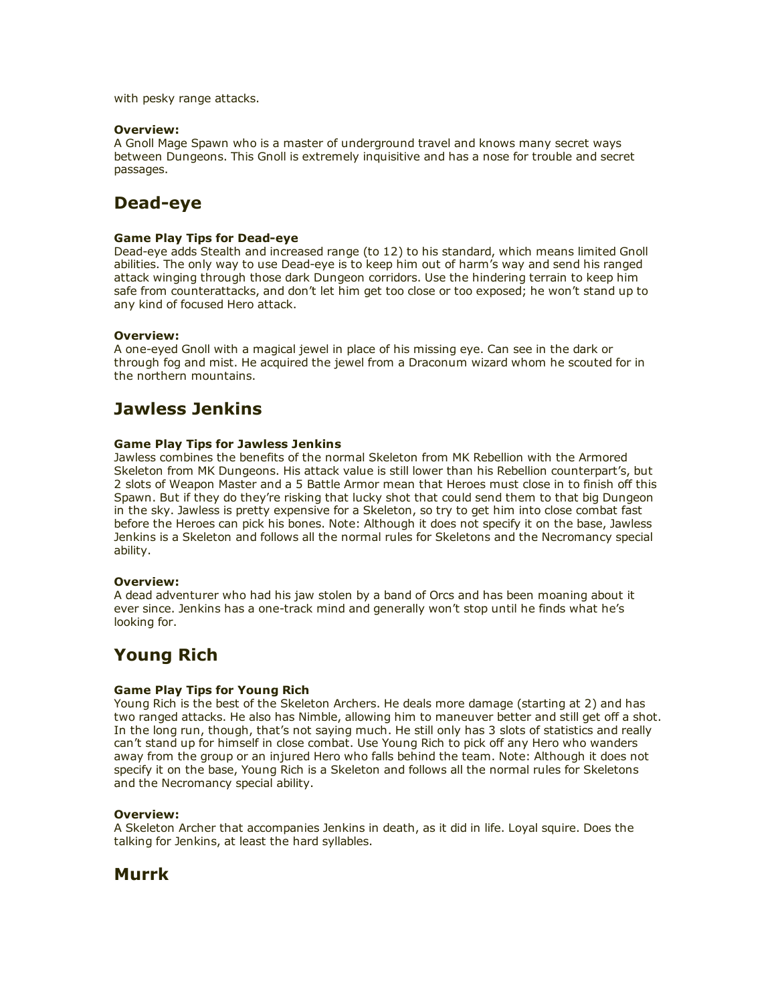with pesky range attacks.

### Overview:

A Gnoll Mage Spawn who is a master of underground travel and knows many secret ways between Dungeons. This Gnoll is extremely inquisitive and has a nose for trouble and secret passages.

# Dead-eve

## **Game Play Tips for Dead-eye**

Dead-eye adds Stealth and increased range (to 12) to his standard, which means limited Gnoll abilities. The only way to use Dead-eye is to keep him out of harm's way and send his ranged attack winging through those dark Dungeon corridors. Use the hindering terrain to keep him safe from counterattacks, and don't let him get too close or too exposed; he won't stand up to any kind of focused Hero attack.

### Overview:

A one-eyed Gnoll with a magical jewel in place of his missing eye. Can see in the dark or through fog and mist. He acquired the jewel from a Draconum wizard whom he scouted for in the northern mountains.

## Jawless Jenkins

### Game Play Tips for Jawless Jenkins

Jawless combines the benefits of the normal Skeleton from MK Rebellion with the Armored Skeleton from MK Dungeons. His attack value is still lower than his Rebellion counterpart's, but 2 slots of Weapon Master and a 5 Battle Armor mean that Heroes must close in to finish off this Spawn. But if they do they're risking that lucky shot that could send them to that big Dungeon in the sky. Jawless is pretty expensive for a Skeleton, so try to get him into close combat fast before the Heroes can pick his bones. Note: Although it does not specify it on the base, Jawless Jenkins is a Skeleton and follows all the normal rules for Skeletons and the Necromancy special ability.

#### Overview:

A dead adventurer who had his jaw stolen by a band of Orcs and has been moaning about it ever since. Jenkins has a one-track mind and generally won't stop until he finds what he's looking for.

## Young Rich

## Game Play Tips for Young Rich

Young Rich is the best of the Skeleton Archers. He deals more damage (starting at 2) and has two ranged attacks. He also has Nimble, allowing him to maneuver better and still get off a shot. In the long run, though, that's not saying much. He still only has 3 slots of statistics and really can't stand up for himself in close combat. Use Young Rich to pick off any Hero who wanders away from the group or an injured Hero who falls behind the team. Note: Although it does not specify it on the base, Young Rich is a Skeleton and follows all the normal rules for Skeletons and the Necromancy special ability.

## Overview:

A Skeleton Archer that accompanies Jenkins in death, as it did in life. Loyal squire. Does the talking for Jenkins, at least the hard syllables.

## Murrk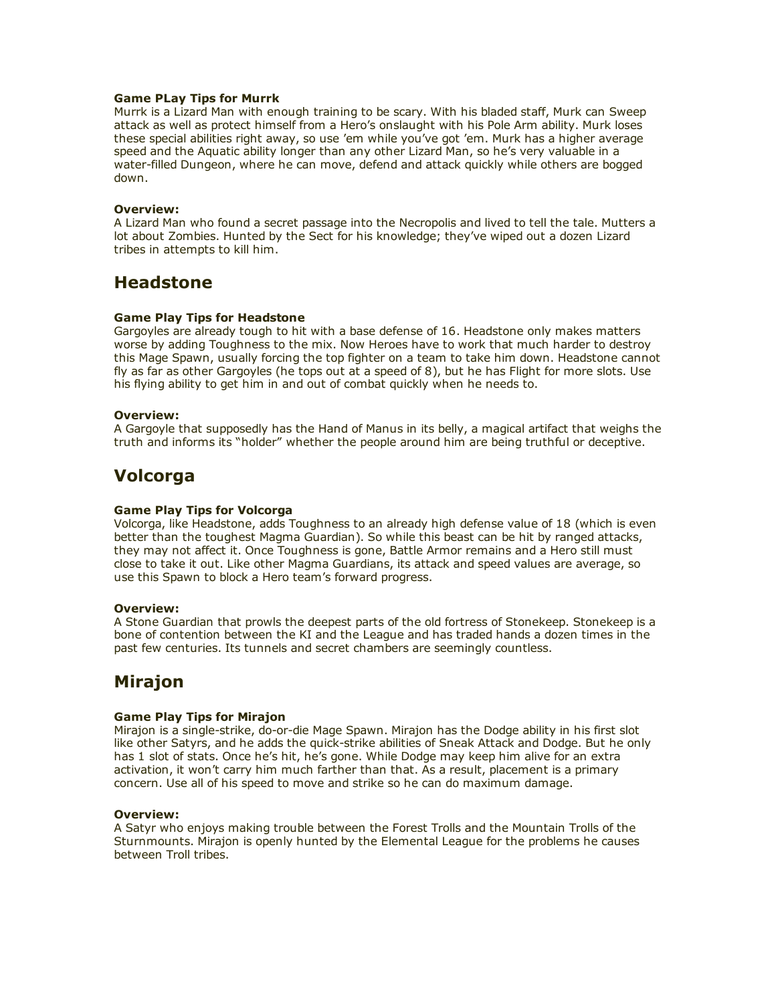## Game PLay Tips for Murrk

Murrk is a Lizard Man with enough training to be scary. With his bladed staff, Murk can Sweep attack as well as protect himself from a Hero's onslaught with his Pole Arm ability. Murk loses these special abilities right away, so use 'em while you've got 'em. Murk has a higher average speed and the Aquatic ability longer than any other Lizard Man, so he's very valuable in a water-filled Dungeon, where he can move, defend and attack quickly while others are bogged down.

### Overview:

A Lizard Man who found a secret passage into the Necropolis and lived to tell the tale. Mutters a lot about Zombies. Hunted by the Sect for his knowledge; they've wiped out a dozen Lizard tribes in attempts to kill him.

## Headstone

### Game Play Tips for Headstone

Gargoyles are already tough to hit with a base defense of 16. Headstone only makes matters worse by adding Toughness to the mix. Now Heroes have to work that much harder to destroy this Mage Spawn, usually forcing the top fighter on a team to take him down. Headstone cannot fly as far as other Gargoyles (he tops out at a speed of 8), but he has Flight for more slots. Use his flying ability to get him in and out of combat quickly when he needs to.

### Overview:

A Gargoyle that supposedly has the Hand of Manus in its belly, a magical artifact that weighs the truth and informs its "holder" whether the people around him are being truthful or deceptive.

## Volcorga

#### Game Play Tips for Volcorga

Volcorga, like Headstone, adds Toughness to an already high defense value of 18 (which is even better than the toughest Magma Guardian). So while this beast can be hit by ranged attacks, they may not affect it. Once Toughness is gone, Battle Armor remains and a Hero still must close to take it out. Like other Magma Guardians, its attack and speed values are average, so use this Spawn to block a Hero team's forward progress.

#### Overview:

A Stone Guardian that prowls the deepest parts of the old fortress of Stonekeep. Stonekeep is a bone of contention between the KI and the League and has traded hands a dozen times in the past few centuries. Its tunnels and secret chambers are seemingly countless.

# Mirajon

## Game Play Tips for Mirajon

Mirajon is a single-strike, do-or-die Mage Spawn. Mirajon has the Dodge ability in his first slot like other Satyrs, and he adds the quick-strike abilities of Sneak Attack and Dodge. But he only has 1 slot of stats. Once he's hit, he's gone. While Dodge may keep him alive for an extra activation, it won't carry him much farther than that. As a result, placement is a primary concern. Use all of his speed to move and strike so he can do maximum damage.

#### Overview:

A Satyr who enjoys making trouble between the Forest Trolls and the Mountain Trolls of the Sturnmounts. Mirajon is openly hunted by the Elemental League for the problems he causes between Troll tribes.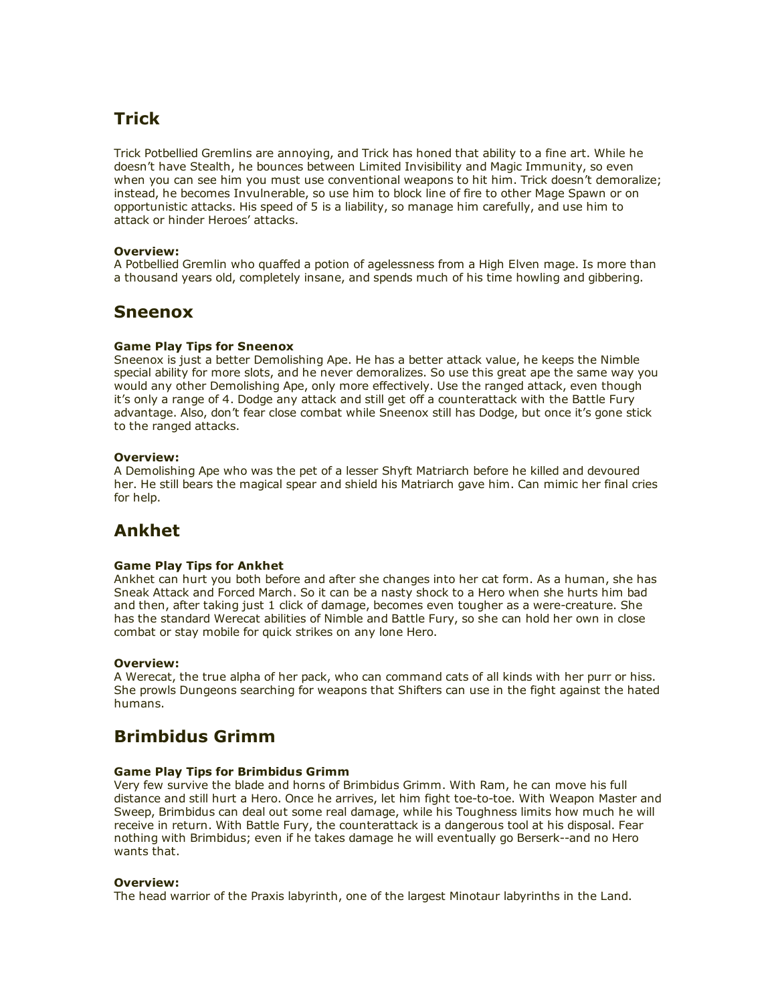# Trick

Trick Potbellied Gremlins are annoying, and Trick has honed that ability to a fine art. While he doesn't have Stealth, he bounces between Limited Invisibility and Magic Immunity, so even when you can see him you must use conventional weapons to hit him. Trick doesn't demoralize; instead, he becomes Invulnerable, so use him to block line of fire to other Mage Spawn or on opportunistic attacks. His speed of 5 is a liability, so manage him carefully, and use him to attack or hinder Heroes' attacks.

## Overview:

A Potbellied Gremlin who quaffed a potion of agelessness from a High Elven mage. Is more than a thousand years old, completely insane, and spends much of his time howling and gibbering.

## Sneenox

## Game Play Tips for Sneenox

Sneenox is just a better Demolishing Ape. He has a better attack value, he keeps the Nimble special ability for more slots, and he never demoralizes. So use this great ape the same way you would any other Demolishing Ape, only more effectively. Use the ranged attack, even though it's only a range of 4. Dodge any attack and still get off a counterattack with the Battle Fury advantage. Also, don't fear close combat while Sneenox still has Dodge, but once it's gone stick to the ranged attacks.

## Overview:

A Demolishing Ape who was the pet of a lesser Shyft Matriarch before he killed and devoured her. He still bears the magical spear and shield his Matriarch gave him. Can mimic her final cries for help.

# Ankhet

## Game Play Tips for Ankhet

Ankhet can hurt you both before and after she changes into her cat form. As a human, she has Sneak Attack and Forced March. So it can be a nasty shock to a Hero when she hurts him bad and then, after taking just 1 click of damage, becomes even tougher as a were-creature. She has the standard Werecat abilities of Nimble and Battle Fury, so she can hold her own in close combat or stay mobile for quick strikes on any lone Hero.

## Overview:

A Werecat, the true alpha of her pack, who can command cats of all kinds with her purr or hiss. She prowls Dungeons searching for weapons that Shifters can use in the fight against the hated humans.

# Brimbidus Grimm

## Game Play Tips for Brimbidus Grimm

Very few survive the blade and horns of Brimbidus Grimm. With Ram, he can move his full distance and still hurt a Hero. Once he arrives, let him fight toe-to-toe. With Weapon Master and Sweep, Brimbidus can deal out some real damage, while his Toughness limits how much he will receive in return. With Battle Fury, the counterattack is a dangerous tool at his disposal. Fear nothing with Brimbidus; even if he takes damage he will eventually go Berserk--and no Hero wants that.

## Overview:

The head warrior of the Praxis labyrinth, one of the largest Minotaur labyrinths in the Land.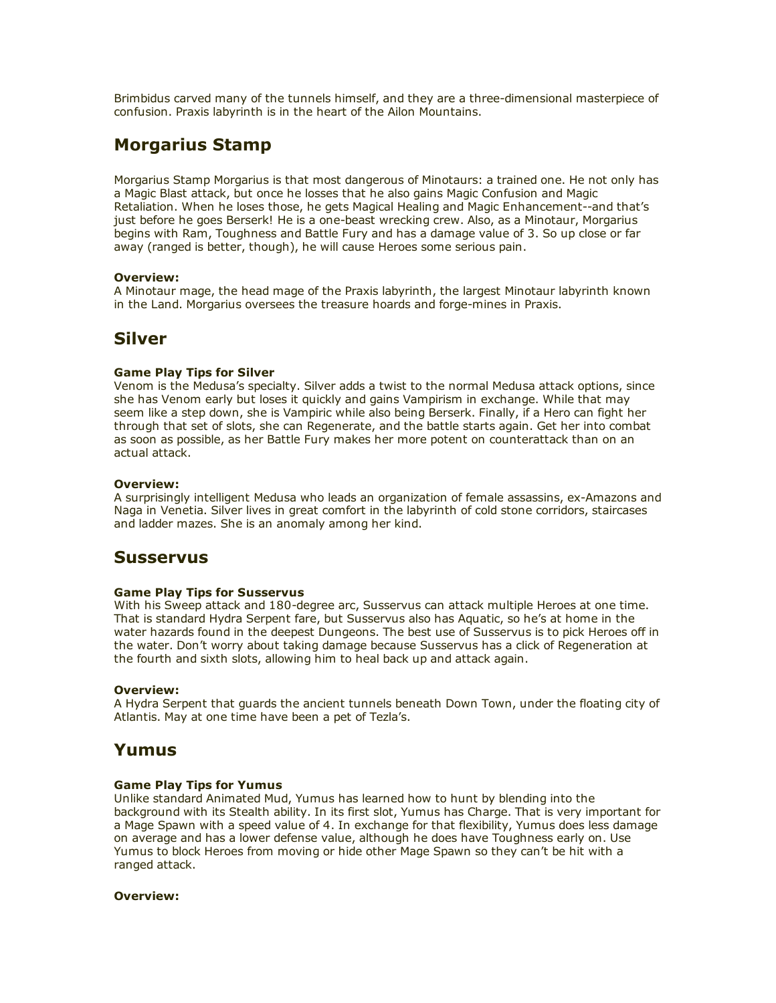Brimbidus carved many of the tunnels himself, and they are a three-dimensional masterpiece of confusion. Praxis labyrinth is in the heart of the Ailon Mountains.

# Morgarius Stamp

Morgarius Stamp Morgarius is that most dangerous of Minotaurs: a trained one. He not only has a Magic Blast attack, but once he losses that he also gains Magic Confusion and Magic Retaliation. When he loses those, he gets Magical Healing and Magic Enhancement--and that's just before he goes Berserk! He is a one-beast wrecking crew. Also, as a Minotaur, Morgarius begins with Ram, Toughness and Battle Fury and has a damage value of 3. So up close or far away (ranged is better, though), he will cause Heroes some serious pain.

## Overview:

A Minotaur mage, the head mage of the Praxis labyrinth, the largest Minotaur labyrinth known in the Land. Morgarius oversees the treasure hoards and forge-mines in Praxis.

## Silver

## Game Play Tips for Silver

Venom is the Medusa's specialty. Silver adds a twist to the normal Medusa attack options, since she has Venom early but loses it quickly and gains Vampirism in exchange. While that may seem like a step down, she is Vampiric while also being Berserk. Finally, if a Hero can fight her through that set of slots, she can Regenerate, and the battle starts again. Get her into combat as soon as possible, as her Battle Fury makes her more potent on counterattack than on an actual attack.

## Overview:

A surprisingly intelligent Medusa who leads an organization of female assassins, ex-Amazons and Naga in Venetia. Silver lives in great comfort in the labyrinth of cold stone corridors, staircases and ladder mazes. She is an anomaly among her kind.

## Susservus

## Game Play Tips for Susservus

With his Sweep attack and 180-degree arc, Susservus can attack multiple Heroes at one time. That is standard Hydra Serpent fare, but Susservus also has Aquatic, so he's at home in the water hazards found in the deepest Dungeons. The best use of Susservus is to pick Heroes off in the water. Don't worry about taking damage because Susservus has a click of Regeneration at the fourth and sixth slots, allowing him to heal back up and attack again.

## Overview:

A Hydra Serpent that guards the ancient tunnels beneath Down Town, under the floating city of Atlantis. May at one time have been a pet of Tezla's.

## Yumus

## Game Play Tips for Yumus

Unlike standard Animated Mud, Yumus has learned how to hunt by blending into the background with its Stealth ability. In its first slot, Yumus has Charge. That is very important for a Mage Spawn with a speed value of 4. In exchange for that flexibility, Yumus does less damage on average and has a lower defense value, although he does have Toughness early on. Use Yumus to block Heroes from moving or hide other Mage Spawn so they can't be hit with a ranged attack.

## Overview: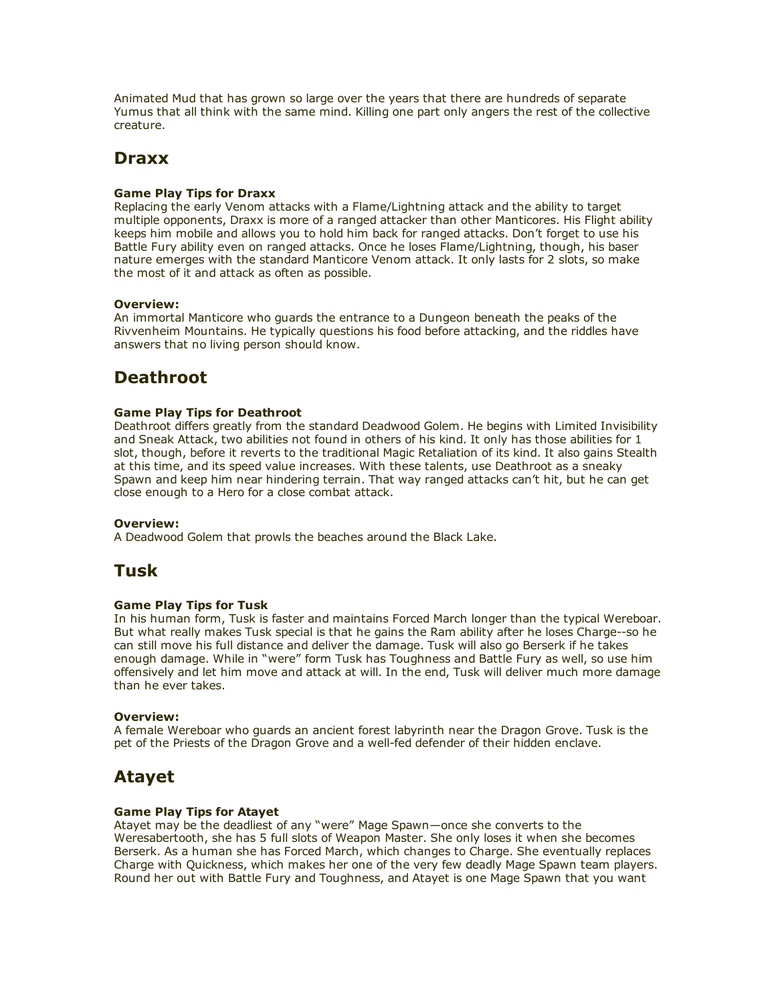Animated Mud that has grown so large over the years that there are hundreds of separate Yumus that all think with the same mind. Killing one part only angers the rest of the collective creature.

# **Draxx**

## Game Play Tips for Draxx

Replacing the early Venom attacks with a Flame/Lightning attack and the ability to target multiple opponents, Draxx is more of a ranged attacker than other Manticores. His Flight ability keeps him mobile and allows you to hold him back for ranged attacks. Don't forget to use his Battle Fury ability even on ranged attacks. Once he loses Flame/Lightning, though, his baser nature emerges with the standard Manticore Venom attack. It only lasts for 2 slots, so make the most of it and attack as often as possible.

## Overview:

An immortal Manticore who guards the entrance to a Dungeon beneath the peaks of the Rivvenheim Mountains. He typically questions his food before attacking, and the riddles have answers that no living person should know.

# **Deathroot**

## Game Play Tips for Deathroot

Deathroot differs greatly from the standard Deadwood Golem. He begins with Limited Invisibility and Sneak Attack, two abilities not found in others of his kind. It only has those abilities for 1 slot, though, before it reverts to the traditional Magic Retaliation of its kind. It also gains Stealth at this time, and its speed value increases. With these talents, use Deathroot as a sneaky Spawn and keep him near hindering terrain. That way ranged attacks can't hit, but he can get close enough to a Hero for a close combat attack.

## Overview:

A Deadwood Golem that prowls the beaches around the Black Lake.

## Tusk

## Game Play Tips for Tusk

In his human form, Tusk is faster and maintains Forced March longer than the typical Wereboar. But what really makes Tusk special is that he gains the Ram ability after he loses Charge--so he can still move his full distance and deliver the damage. Tusk will also go Berserk if he takes enough damage. While in "were" form Tusk has Toughness and Battle Fury as well, so use him offensively and let him move and attack at will. In the end, Tusk will deliver much more damage than he ever takes.

## Overview:

A female Wereboar who guards an ancient forest labyrinth near the Dragon Grove. Tusk is the pet of the Priests of the Dragon Grove and a well-fed defender of their hidden enclave.

# Atayet

## Game Play Tips for Atayet

Atayet may be the deadliest of any "were" Mage Spawn—once she converts to the Weresabertooth, she has 5 full slots of Weapon Master. She only loses it when she becomes Berserk. As a human she has Forced March, which changes to Charge. She eventually replaces Charge with Quickness, which makes her one of the very few deadly Mage Spawn team players. Round her out with Battle Fury and Toughness, and Atayet is one Mage Spawn that you want